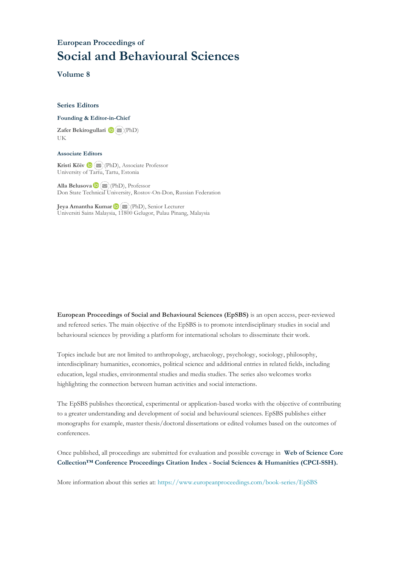### **European Proceedings of Social and Behavioural Sciences**

**Volume 8**

#### **Series Editors**

#### **Founding & Editor-in-Chief**

**Zafer Bekirogullari**(PhD) UK

#### **Associate Editors**

**Kristi Köiv** (PhD), Associate Professor University of Tartu, Tartu, Estonia

**Alla Belusova**(PhD), Professor Don State Technical University, Rostov-On-Don, Russian Federation

**Jeya Amantha Kumar**(PhD), Senior Lecturer Universiti Sains Malaysia, [1180](mailto:amantha@usm.my)0 Gelugor, Pulau Pinang, Malaysia

**European Proceedings of Social and Behavioural Sciences (EpSBS)** is an open access, peer-reviewed and refereed series. The main objective of the EpSBS is to promote interdisciplinary studies in social and behavioural sciences by providing a platform for international scholars to disseminate their work.

Topics include but are not limited to anthropology, archaeology, psychology, sociology, philosophy, interdisciplinary humanities, economics, political science and additional entries in related fields, including education, legal studies, environmental studies and media studies. The series also welcomes works highlighting the connection between human activities and social interactions.

The EpSBS publishes theoretical, experimental or application-based works with the objective of contributing to a greater understanding and development of social and behavioural sciences. EpSBS publishes either monographs for example, master thesis/doctoral dissertations or edited volumes based on the outcomes of conferences.

Once published, all proceedings are submitted for evaluation and possible coverage in **Web of [Science](https://clarivate.com/webofsciencegroup/solutions/webofscience-cpci/) Core Collection™ Conference Proceedings Citation Index - Social Sciences & Humanities [\(CPCI-SSH\).](https://clarivate.com/webofsciencegroup/solutions/webofscience-cpci/)**

More information about this series at[: https://www.europeanproceedings.com/book-series/EpSBS](https://www.europeanproceedings.com/book-series/EpSBS)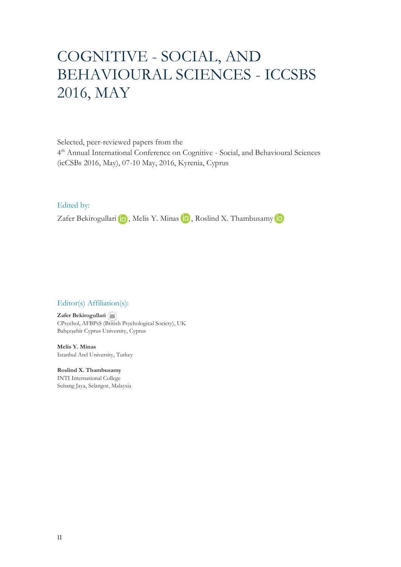# COGNITIVE - SOCIAL, AND BEHAVIOURAL SCIENCES - ICCSBS 2016, MAY

Selected, peer-reviewed papers from the

4 th Annual International Conference on Cognitive - Social, and Behavioural Sciences (icCSBs 2016, May), 07-10 May, 2016, Kyrenia, Cyprus

Edited by:

ZaferBekirogullari **iD**, Melis Y. Minas **iD**, Roslind X. Thambusamy **iD** 

#### Editor(s) Affiliation(s):

**Zafer Bekirogullari** CPsychol, AFBPsS ([Britis](mailto:zafer.bekirogullari@cyprus.bau.edu.tr)h Psychological Society), UK Bahçeşehir Cyprus University, Cyprus

**Melis Y. Minas** Istanbul Arel University, Turkey

**Roslind X. Thambusamy** INTI International College Subang Jaya, Selangor, Malaysia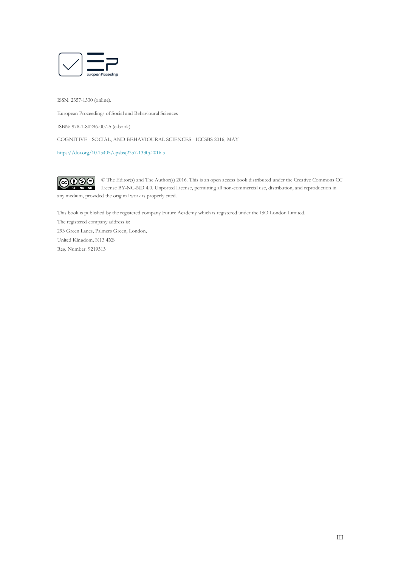

ISSN: 2357-1330 (online).

European Proceedings of Social and Behavioural Sciences

ISBN: 978-1-80296-007-5 (e-book)

COGNITIVE - SOCIAL, AND BEHAVIOURAL SCIENCES - ICCSBS 2016, MAY

[https://doi.org/10.15405/epsbs\(2357-1330\).2016.5](https://doi.org/10.15405/epsbs(2357-1330).2016.5)

 $CO$  $O$  $O$  $O$ © The Editor(s) and The Author(s) 2016. This is an open access book distributed under the Creative Commons CC License BY-NC-ND 4.0. Unported License, permitting all non-commercial use, distribution, and reproduction in any medium, provided the original work is properly cited.

This book is published by the registered company Future Academy which is registered under the ISO London Limited.

The registered company address is: 293 Green Lanes, Palmers Green, London, United Kingdom, N13 4XS Reg. Number: 9219513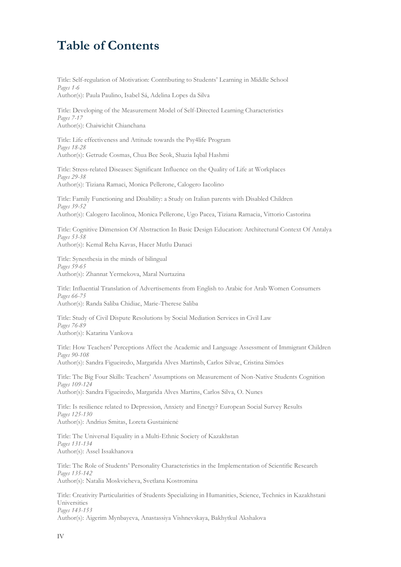## **Table of Contents**

Title: Self-regulation of Motivation: Contributing to Students' Learning in Middle School *Pages 1-6*

Author(s): Paula Paulino, Isabel Sá, Adelina Lopes da Silva

Title: Developing of the Measurement Model of Self-Directed Learning Characteristics *Pages 7-17* Author(s): Chaiwichit Chianchana

Title: Life effectiveness and Attitude towards the Psy4life Program *Pages 18-28* Author(s): Getrude Cosmas, Chua Bee Seok, Shazia Iqbal Hashmi

Title: Stress-related Diseases: Significant Influence on the Quality of Life at Workplaces *Pages 29-38* Author(s): Tiziana Ramaci, Monica Pellerone, Calogero Iacolino

Title: Family Functioning and Disability: a Study on Italian parents with Disabled Children *Pages 39-52* Author(s): Calogero Iacolinoa, Monica Pellerone, Ugo Pacea, Tiziana Ramacia, Vittorio Castorina

Title: Cognitive Dimension Of Abstraction In Basic Design Education: Architectural Context Of Antalya *Pages 53-58* Author(s): Kemal Reha Kavas, Hacer Mutlu Danaci

Title: Synesthesia in the minds of bilingual *Pages 59-65* Author(s): Zhannat Yermekova, Maral Nurtazina

Title: Influential Translation of Advertisements from English to Arabic for Arab Women Consumers *Pages 66-75* Author(s): Randa Saliba Chidiac, Marie-Therese Saliba

Title: Study of Civil Dispute Resolutions by Social Mediation Services in Civil Law *Pages 76-89* Author(s): Katarina Vankova

Title: How Teachers' Perceptions Affect the Academic and Language Assessment of Immigrant Children *Pages 90-108* Author(s): Sandra Figueiredo, Margarida Alves Martinsb, Carlos Silvac, Cristina Simões

Title: The Big Four Skills: Teachers' Assumptions on Measurement of Non-Native Students Cognition *Pages 109-124* Author(s): Sandra Figueiredo, Margarida Alves Martins, Carlos Silva, O. Nunes

Title: Is resilience related to Depression, Anxiety and Energy? European Social Survey Results *Pages 125-130* Author(s): Andrius Smitas, Loreta Gustainienė

Title: The Universal Equality in a Multi-Ethnic Society of Kazakhstan *Pages 131-134* Author(s): Assel Issakhanova

Title: The Role of Students' Personality Characteristics in the Implementation of Scientific Research *Pages 135-142* Author(s): Natalia Moskvicheva, Svetlana Kostromina

Title: Creativity Particularities of Students Specializing in Humanities, Science, Technics in Kazakhstani Universities *Pages 143-153* Author(s): Aigerim Mynbayeva, Anastassiya Vishnevskaya, Bakhytkul Akshalova